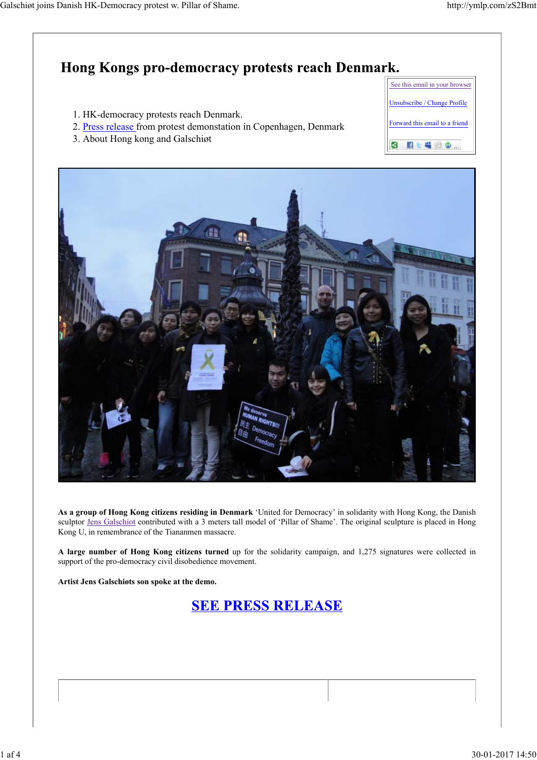

**As a group of Hong Kong citizens residing in Denmark** 'United for Democracy' in solidarity with Hong Kong, the Danish sculptor Jens Galschiot contributed with a 3 meters tall model of 'Pillar of Shame'. The original sculpture is placed in Hong Kong U, in remembrance of the Tiananmen massacre.

**A large number of Hong Kong citizens turned** up for the solidarity campaign, and 1,275 signatures were collected in support of the pro-democracy civil disobedience movement.

**Artist Jens Galschiøts son spoke at the demo.**

**SEE PRESS RELEASE**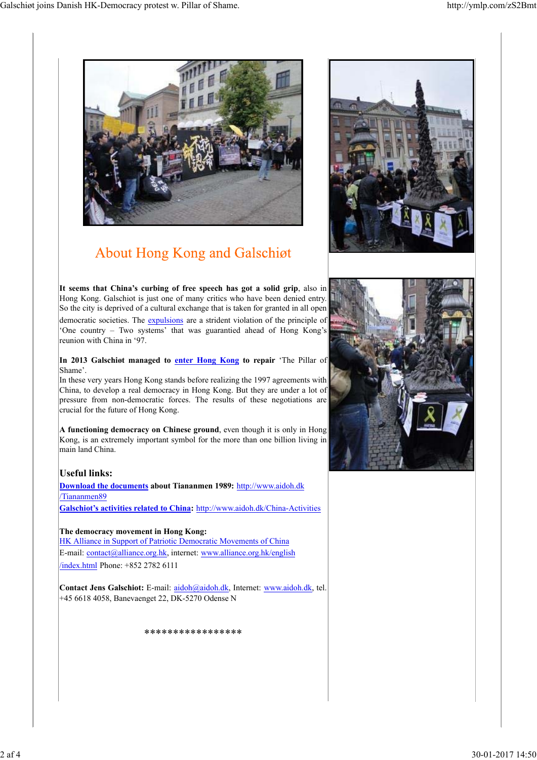

## **About Hong Kong and Galschiøt**

**It seems that China's curbing of free speech has got a solid grip**, also in Hong Kong. Galschiot is just one of many critics who have been denied entry. So the city is deprived of a cultural exchange that is taken for granted in all open democratic societies. The expulsions are a strident violation of the principle of 'One country – Two systems' that was guarantied ahead of Hong Kong's reunion with China in '97.

**In 2013 Galschiøt managed to enter Hong Kong to repair** 'The Pillar of Shame'.

In these very years Hong Kong stands before realizing the 1997 agreements with China, to develop a real democracy in Hong Kong. But they are under a lot of pressure from non-democratic forces. The results of these negotiations are crucial for the future of Hong Kong.

**A functioning democracy on Chinese ground**, even though it is only in Hong Kong, is an extremely important symbol for the more than one billion living in main land China.

## **Useful links:**

**Download the documents about Tiananmen 1989:** http://www.aidoh.dk /Tiananmen89 **Galschiot's activities related to China:** http://www.aidoh.dk/China-Activities

**The democracy movement in Hong Kong:**

HK Alliance in Support of Patriotic Democratic Movements of China E-mail: contact@alliance.org.hk, internet: www.alliance.org.hk/english /index.html Phone: +852 2782 6111

**Contact Jens Galschiot:** E-mail: aidoh@aidoh.dk, Internet: www.aidoh.dk, tel. +45 6618 4058, Banevaenget 22, DK-5270 Odense N

\*\*\*\*\*\*\*\*\*\*\*\*\*\*\*\*\*



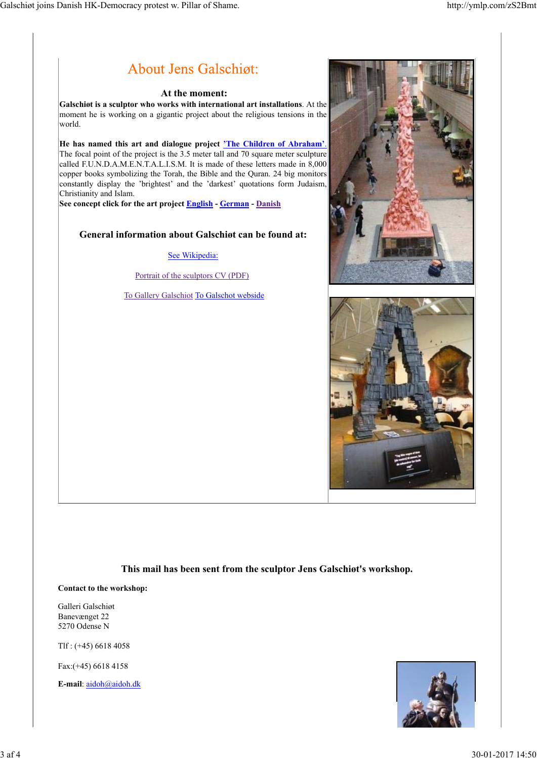

**This mail has been sent from the sculptor Jens Galschiøt's workshop.**

**Contact to the workshop:**

Galleri Galschiøt Banevænget 22 5270 Odense N

Tlf : (+45) 6618 4058

Fax:(+45) 6618 4158

**E-mail**: aidoh@aidoh.dk